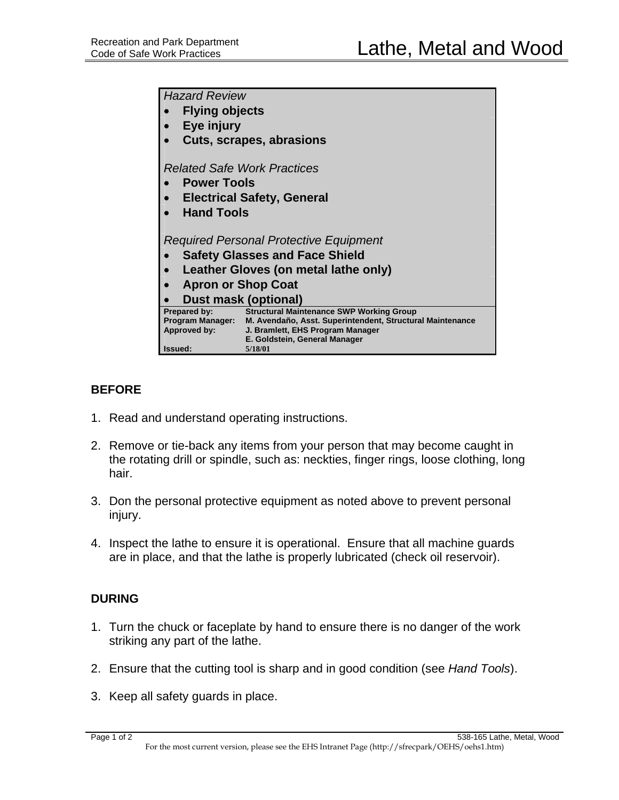| <b>Hazard Review</b>                    |                                                                                               |
|-----------------------------------------|-----------------------------------------------------------------------------------------------|
| <b>Flying objects</b>                   |                                                                                               |
| Eye injury                              |                                                                                               |
| <b>Cuts, scrapes, abrasions</b>         |                                                                                               |
|                                         |                                                                                               |
| <b>Related Safe Work Practices</b>      |                                                                                               |
| <b>Power Tools</b>                      |                                                                                               |
| <b>Electrical Safety, General</b>       |                                                                                               |
| <b>Hand Tools</b>                       |                                                                                               |
|                                         |                                                                                               |
| Required Personal Protective Equipment  |                                                                                               |
| <b>Safety Glasses and Face Shield</b>   |                                                                                               |
| Leather Gloves (on metal lathe only)    |                                                                                               |
| <b>Apron or Shop Coat</b>               |                                                                                               |
| <b>Dust mask (optional)</b>             |                                                                                               |
| Prepared by:                            | <b>Structural Maintenance SWP Working Group</b>                                               |
| <b>Program Manager:</b><br>Approved by: | M. Avendaño, Asst. Superintendent, Structural Maintenance<br>J. Bramlett, EHS Program Manager |
|                                         | E. Goldstein, General Manager                                                                 |
| Issued:                                 | 5/18/01                                                                                       |

## **BEFORE**

- 1. Read and understand operating instructions.
- 2. Remove or tie-back any items from your person that may become caught in the rotating drill or spindle, such as: neckties, finger rings, loose clothing, long hair.
- 3. Don the personal protective equipment as noted above to prevent personal injury.
- 4. Inspect the lathe to ensure it is operational. Ensure that all machine guards are in place, and that the lathe is properly lubricated (check oil reservoir).

## **DURING**

- 1. Turn the chuck or faceplate by hand to ensure there is no danger of the work striking any part of the lathe.
- 2. Ensure that the cutting tool is sharp and in good condition (see *Hand Tools*).
- 3. Keep all safety guards in place.